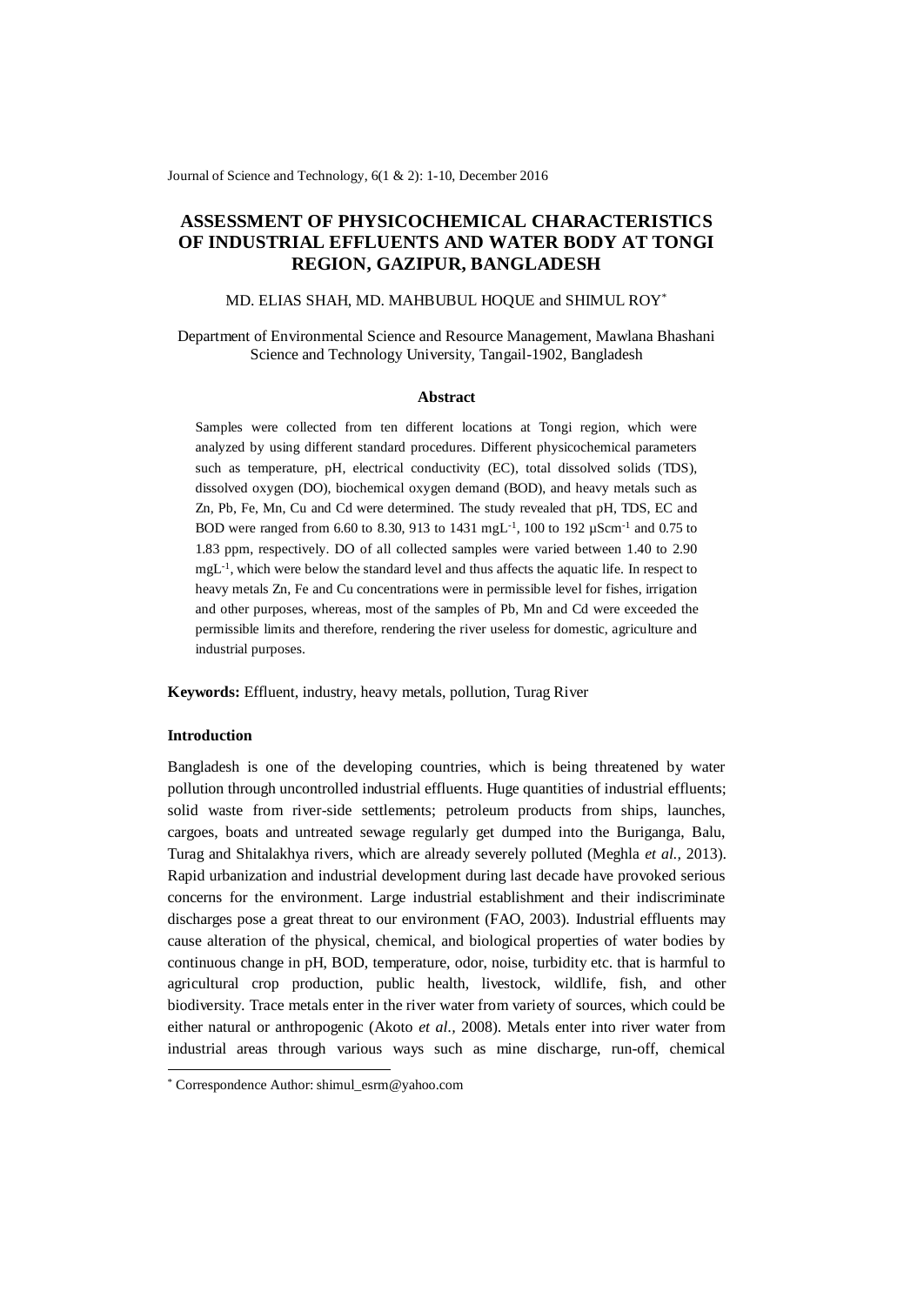Journal of Science and Technology, 6(1 & 2): 1-10, December 2016

# **ASSESSMENT OF PHYSICOCHEMICAL CHARACTERISTICS OF INDUSTRIAL EFFLUENTS AND WATER BODY AT TONGI REGION, GAZIPUR, BANGLADESH**

# MD. ELIAS SHAH, MD. MAHBUBUL HOQUE and SHIMUL ROY\*

Department of Environmental Science and Resource Management, Mawlana Bhashani Science and Technology University, Tangail-1902, Bangladesh

# **Abstract**

Samples were collected from ten different locations at Tongi region, which were analyzed by using different standard procedures. Different physicochemical parameters such as temperature, pH, electrical conductivity (EC), total dissolved solids (TDS), dissolved oxygen (DO), biochemical oxygen demand (BOD), and heavy metals such as Zn, Pb, Fe, Mn, Cu and Cd were determined. The study revealed that pH, TDS, EC and BOD were ranged from 6.60 to 8.30, 913 to 1431 mgL<sup>-1</sup>, 100 to 192 µScm<sup>-1</sup> and 0.75 to 1.83 ppm, respectively. DO of all collected samples were varied between 1.40 to 2.90 mgL<sup>-1</sup>, which were below the standard level and thus affects the aquatic life. In respect to heavy metals Zn, Fe and Cu concentrations were in permissible level for fishes, irrigation and other purposes, whereas, most of the samples of Pb, Mn and Cd were exceeded the permissible limits and therefore, rendering the river useless for domestic, agriculture and industrial purposes.

**Keywords:** Effluent, industry, heavy metals, pollution, Turag River

# **Introduction**

 $\overline{a}$ 

Bangladesh is one of the developing countries, which is being threatened by water pollution through uncontrolled industrial effluents. Huge quantities of industrial effluents; solid waste from river-side settlements; petroleum products from ships, launches, cargoes, boats and untreated sewage regularly get dumped into the Buriganga, Balu, Turag and Shitalakhya rivers, which are already severely polluted (Meghla *et al.,* 2013). Rapid urbanization and industrial development during last decade have provoked serious concerns for the environment. Large industrial establishment and their indiscriminate discharges pose a great threat to our environment (FAO, 2003). Industrial effluents may cause alteration of the physical, chemical, and biological properties of water bodies by continuous change in pH, BOD, temperature, odor, noise, turbidity etc. that is harmful to agricultural crop production, public health, livestock, wildlife, fish, and other biodiversity. Trace metals enter in the river water from variety of sources, which could be either natural or anthropogenic (Akoto *et al.,* 2008). Metals enter into river water from industrial areas through various ways such as mine discharge, run-off, chemical

<sup>\*</sup> Correspondence Author: shimul\_esrm@yahoo.com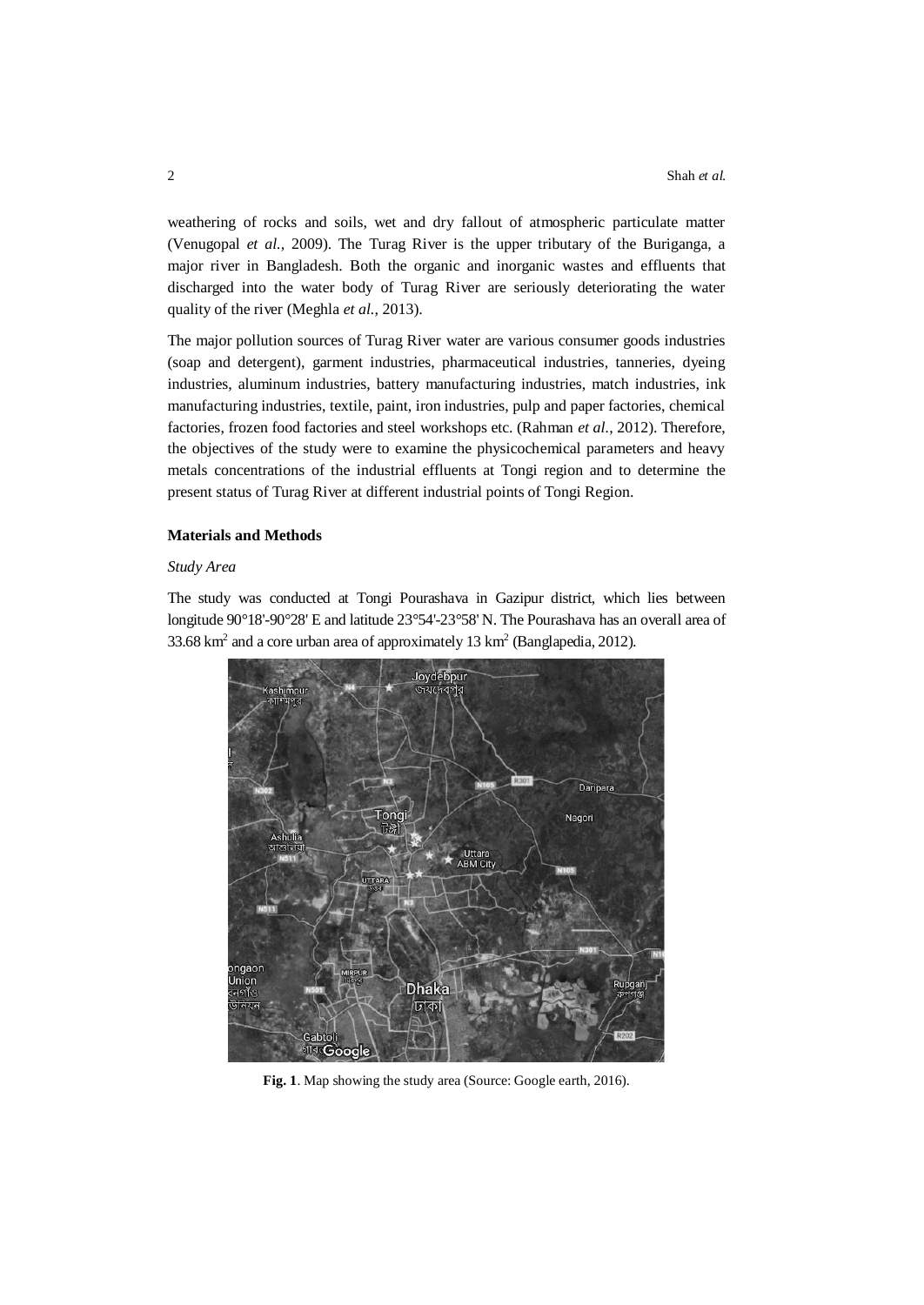weathering of rocks and soils, wet and dry fallout of atmospheric particulate matter (Venugopal *et al.,* 2009). The Turag River is the upper tributary of the Buriganga, a major river in Bangladesh. Both the organic and inorganic wastes and effluents that discharged into the water body of Turag River are seriously deteriorating the water quality of the river (Meghla *et al.,* 2013).

The major pollution sources of Turag River water are various consumer goods industries (soap and detergent), garment industries, pharmaceutical industries, tanneries, dyeing industries, aluminum industries, battery manufacturing industries, match industries, ink manufacturing industries, textile, paint, iron industries, pulp and paper factories, chemical factories, frozen food factories and steel workshops etc. (Rahman *et al.,* 2012). Therefore, the objectives of the study were to examine the physicochemical parameters and heavy metals concentrations of the industrial effluents at Tongi region and to determine the present status of Turag River at different industrial points of Tongi Region.

## **Materials and Methods**

## *Study Area*

The study was conducted at Tongi Pourashava in Gazipur district, which lies between longitude 90°18'-90°28' E and latitude 23°54'-23°58' N. The Pourashava has an overall area of 33.68 km<sup>2</sup> and a core urban area of approximately 13 km<sup>2</sup> (Banglapedia, 2012).



**Fig. 1**. Map showing the study area (Source: Google earth, 2016).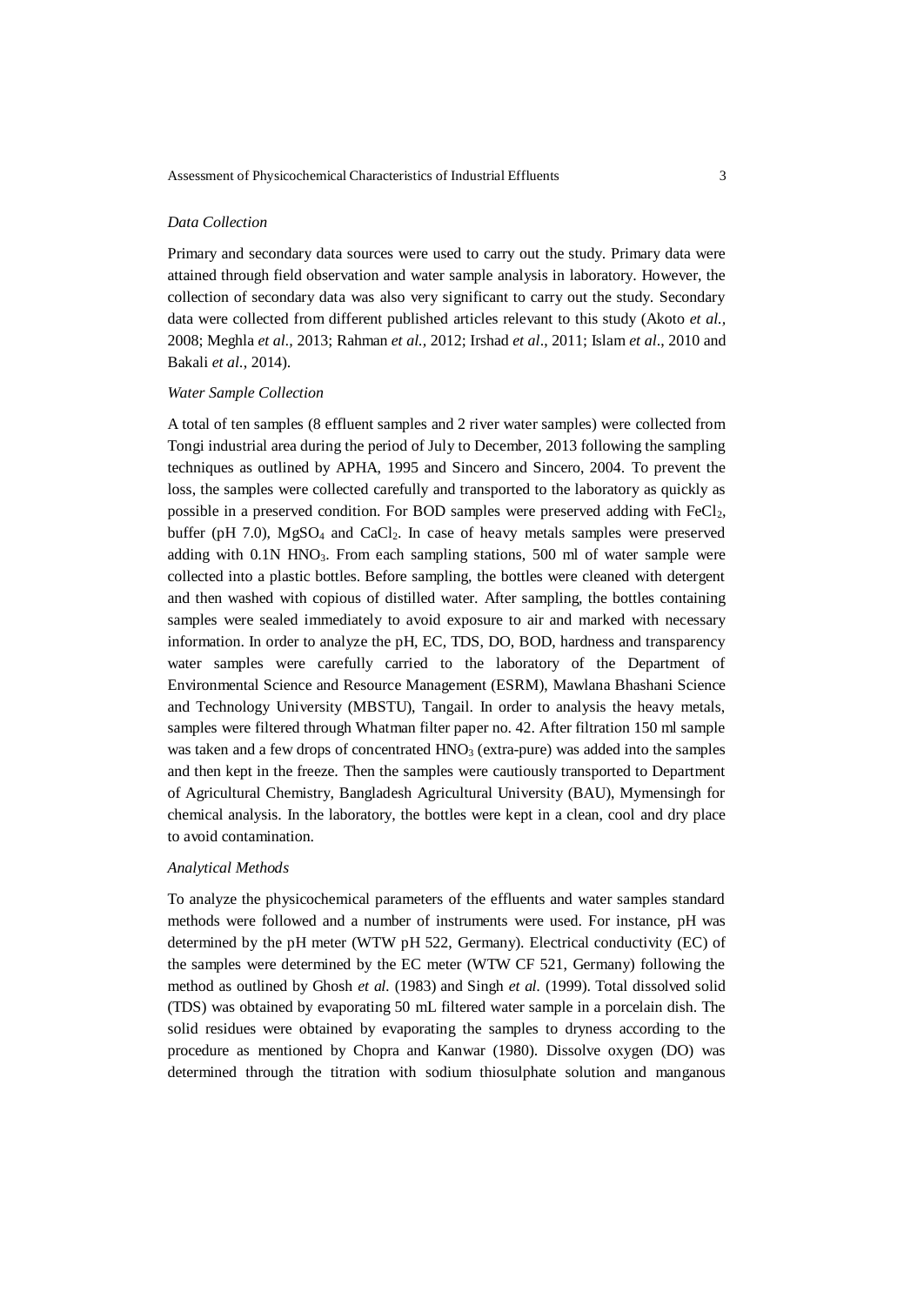### *Data Collection*

Primary and secondary data sources were used to carry out the study. Primary data were attained through field observation and water sample analysis in laboratory. However, the collection of secondary data was also very significant to carry out the study. Secondary data were collected from different published articles relevant to this study (Akoto *et al.,* 2008; Meghla *et al.,* 2013; Rahman *et al.,* 2012; Irshad *et al*., 2011; Islam *et al*., 2010 and Bakali *et al.*, 2014).

#### *Water Sample Collection*

A total of ten samples (8 effluent samples and 2 river water samples) were collected from Tongi industrial area during the period of July to December, 2013 following the sampling techniques as outlined by APHA, 1995 and Sincero and Sincero, 2004. To prevent the loss, the samples were collected carefully and transported to the laboratory as quickly as possible in a preserved condition. For BOD samples were preserved adding with  $FeCl<sub>2</sub>$ , buffer (pH 7.0),  $MgSO_4$  and  $CaCl<sub>2</sub>$ . In case of heavy metals samples were preserved adding with 0.1N HNO3. From each sampling stations, 500 ml of water sample were collected into a plastic bottles. Before sampling, the bottles were cleaned with detergent and then washed with copious of distilled water. After sampling, the bottles containing samples were sealed immediately to avoid exposure to air and marked with necessary information. In order to analyze the pH, EC, TDS, DO, BOD, hardness and transparency water samples were carefully carried to the laboratory of the Department of Environmental Science and Resource Management (ESRM), Mawlana Bhashani Science and Technology University (MBSTU), Tangail. In order to analysis the heavy metals, samples were filtered through Whatman filter paper no. 42. After filtration 150 ml sample was taken and a few drops of concentrated  $HNO<sub>3</sub>$  (extra-pure) was added into the samples and then kept in the freeze. Then the samples were cautiously transported to Department of Agricultural Chemistry, Bangladesh Agricultural University (BAU), Mymensingh for chemical analysis. In the laboratory, the bottles were kept in a clean, cool and dry place to avoid contamination.

#### *Analytical Methods*

To analyze the physicochemical parameters of the effluents and water samples standard methods were followed and a number of instruments were used. For instance, pH was determined by the pH meter (WTW pH 522, Germany). Electrical conductivity (EC) of the samples were determined by the EC meter (WTW CF 521, Germany) following the method as outlined by Ghosh *et al.* (1983) and Singh *et al.* (1999). Total dissolved solid (TDS) was obtained by evaporating 50 mL filtered water sample in a porcelain dish. The solid residues were obtained by evaporating the samples to dryness according to the procedure as mentioned by Chopra and Kanwar (1980). Dissolve oxygen (DO) was determined through the titration with sodium thiosulphate solution and manganous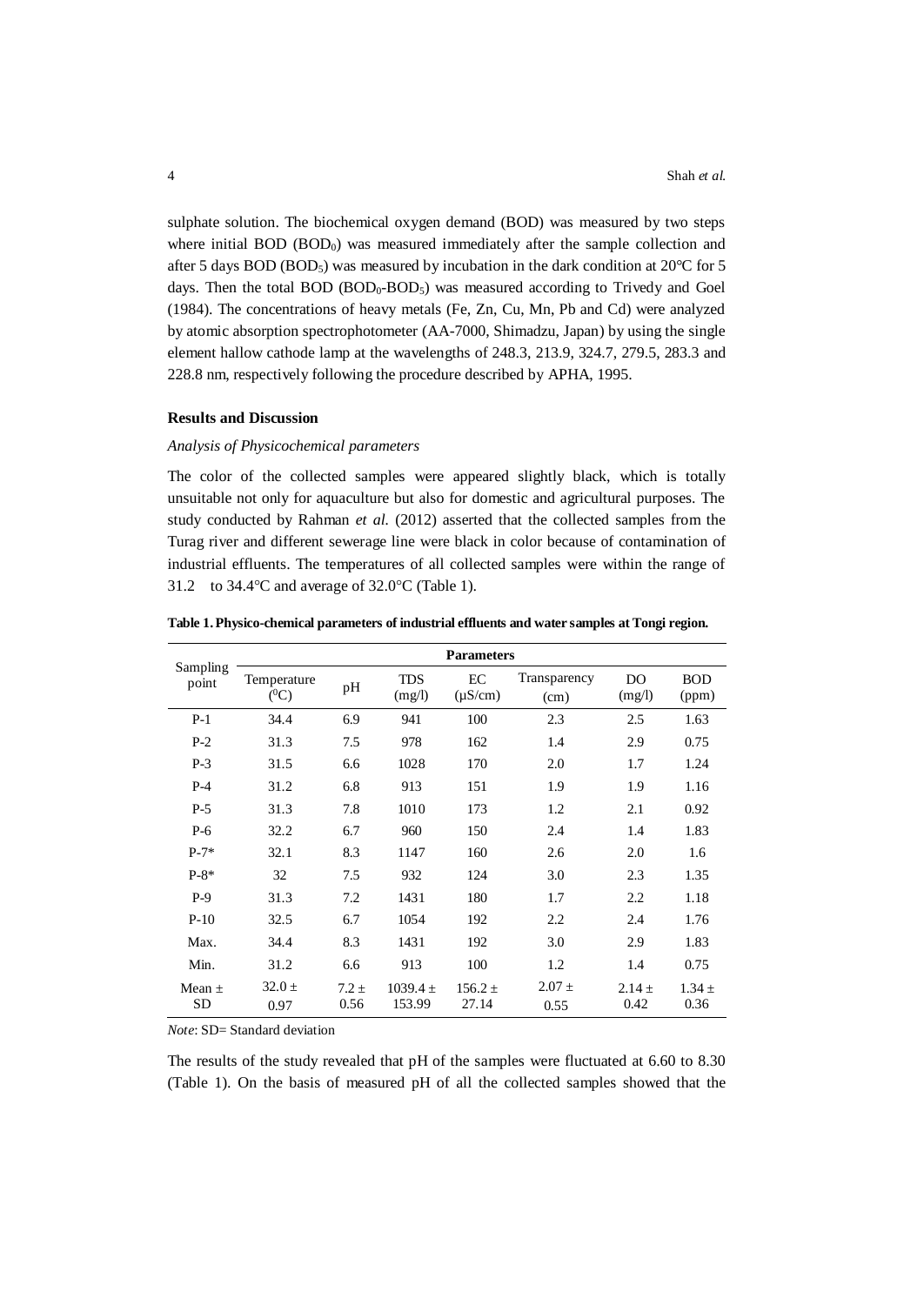sulphate solution. The biochemical oxygen demand (BOD) was measured by two steps where initial BOD  $(BOD<sub>0</sub>)$  was measured immediately after the sample collection and after 5 days BOD (BOD<sub>5</sub>) was measured by incubation in the dark condition at 20°C for 5 days. Then the total BOD (BOD<sub>0</sub>-BOD<sub>5</sub>) was measured according to Trivedy and Goel (1984). The concentrations of heavy metals (Fe, Zn, Cu, Mn, Pb and Cd) were analyzed by atomic absorption spectrophotometer (AA-7000, Shimadzu, Japan) by using the single element hallow cathode lamp at the wavelengths of 248.3, 213.9, 324.7, 279.5, 283.3 and 228.8 nm, respectively following the procedure described by APHA, 1995.

### **Results and Discussion**

### *Analysis of Physicochemical parameters*

The color of the collected samples were appeared slightly black, which is totally unsuitable not only for aquaculture but also for domestic and agricultural purposes. The study conducted by Rahman *et al.* (2012) asserted that the collected samples from the Turag river and different sewerage line were black in color because of contamination of industrial effluents. The temperatures of all collected samples were within the range of 31.2 to  $34.4^{\circ}$ C and average of  $32.0^{\circ}$ C (Table 1).

| Sampling<br>point | <b>Parameters</b>      |                 |                        |                      |                      |                    |                     |  |  |  |
|-------------------|------------------------|-----------------|------------------------|----------------------|----------------------|--------------------|---------------------|--|--|--|
|                   | Temperature<br>$(^0C)$ | pH              | <b>TDS</b><br>(mg/l)   | EC<br>$(\mu S/cm)$   | Transparency<br>(cm) | DO<br>(mg/l)       | <b>BOD</b><br>(ppm) |  |  |  |
| $P-1$             | 34.4                   | 6.9             | 941                    | 100                  | 2.3                  | 2.5                | 1.63                |  |  |  |
| $P-2$             | 31.3                   | 7.5             | 978                    | 162                  | 1.4                  | 2.9                | 0.75                |  |  |  |
| $P-3$             | 31.5                   | 6.6             | 1028                   | 170                  | 2.0                  | 1.7                | 1.24                |  |  |  |
| $P-4$             | 31.2                   | 6.8             | 913                    | 151                  | 1.9                  | 1.9                | 1.16                |  |  |  |
| $P-5$             | 31.3                   | 7.8             | 1010                   | 173                  | 1.2                  | 2.1                | 0.92                |  |  |  |
| $P-6$             | 32.2                   | 6.7             | 960                    | 150                  | 2.4                  | 1.4                | 1.83                |  |  |  |
| $P-7*$            | 32.1                   | 8.3             | 1147                   | 160                  | 2.6                  | 2.0                | 1.6                 |  |  |  |
| $P-8*$            | 32                     | 7.5             | 932                    | 124                  | 3.0                  | 2.3                | 1.35                |  |  |  |
| $P-9$             | 31.3                   | 7.2             | 1431                   | 180                  | 1.7                  | 2.2                | 1.18                |  |  |  |
| $P-10$            | 32.5                   | 6.7             | 1054                   | 192                  | 2.2                  | 2.4                | 1.76                |  |  |  |
| Max.              | 34.4                   | 8.3             | 1431                   | 192                  | 3.0                  | 2.9                | 1.83                |  |  |  |
| Min.              | 31.2                   | 6.6             | 913                    | 100                  | 1.2                  | 1.4                | 0.75                |  |  |  |
| Mean $\pm$<br>SD  | $32.0 \pm$<br>0.97     | $7.2 +$<br>0.56 | $1039.4 \pm$<br>153.99 | $156.2 \pm$<br>27.14 | $2.07 \pm$<br>0.55   | $2.14 \pm$<br>0.42 | $1.34 \pm$<br>0.36  |  |  |  |

**Table 1. Physico-chemical parameters of industrial effluents and water samples at Tongi region.** 

*Note*: SD= Standard deviation

The results of the study revealed that pH of the samples were fluctuated at 6.60 to 8.30 (Table 1). On the basis of measured pH of all the collected samples showed that the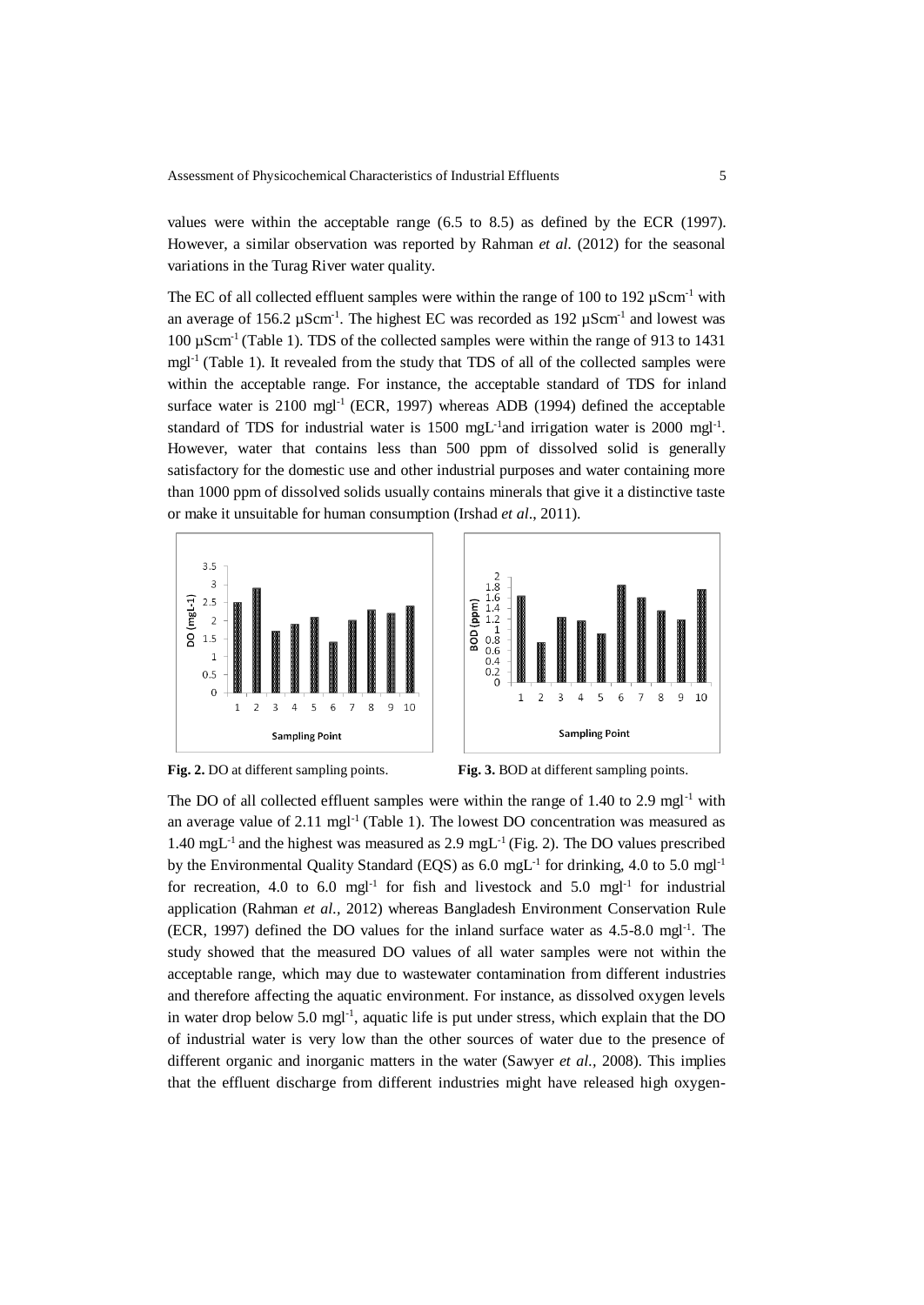values were within the acceptable range (6.5 to 8.5) as defined by the ECR (1997). However, a similar observation was reported by Rahman *et al.* (2012) for the seasonal variations in the Turag River water quality.

The EC of all collected effluent samples were within the range of 100 to 192  $\mu$ Scm<sup>-1</sup> with an average of 156.2  $\mu$ Scm<sup>-1</sup>. The highest EC was recorded as 192  $\mu$ Scm<sup>-1</sup> and lowest was 100 µScm-1 (Table 1). TDS of the collected samples were within the range of 913 to 1431 mgl<sup>-1</sup> (Table 1). It revealed from the study that TDS of all of the collected samples were within the acceptable range. For instance, the acceptable standard of TDS for inland surface water is 2100 mgl<sup>-1</sup> (ECR, 1997) whereas ADB (1994) defined the acceptable standard of TDS for industrial water is 1500 mgL<sup>-1</sup> and irrigation water is 2000 mgl<sup>-1</sup>. However, water that contains less than 500 ppm of dissolved solid is generally satisfactory for the domestic use and other industrial purposes and water containing more than 1000 ppm of dissolved solids usually contains minerals that give it a distinctive taste or make it unsuitable for human consumption (Irshad *et al*., 2011).







**Fig. 2.** DO at different sampling points. **Fig. 3.** BOD at different sampling points.

The DO of all collected effluent samples were within the range of  $1.40$  to  $2.9$  mgl<sup>-1</sup> with an average value of  $2.11 \text{ mgl}^{-1}$  (Table 1). The lowest DO concentration was measured as 1.40 mgL<sup>-1</sup> and the highest was measured as 2.9 mgL<sup>-1</sup> (Fig. 2). The DO values prescribed by the Environmental Quality Standard (EQS) as  $6.0 \text{ mgL}^{-1}$  for drinking, 4.0 to 5.0 mgl<sup>-1</sup> for recreation, 4.0 to 6.0 mgl<sup>-1</sup> for fish and livestock and 5.0 mgl<sup>-1</sup> for industrial application (Rahman *et al.,* 2012) whereas Bangladesh Environment Conservation Rule (ECR, 1997) defined the DO values for the inland surface water as 4.5-8.0 mgl-1 . The study showed that the measured DO values of all water samples were not within the acceptable range, which may due to wastewater contamination from different industries and therefore affecting the aquatic environment. For instance, as dissolved oxygen levels in water drop below 5.0 mgl<sup>-1</sup>, aquatic life is put under stress, which explain that the DO of industrial water is very low than the other sources of water due to the presence of different organic and inorganic matters in the water (Sawyer *et al.,* 2008). This implies that the effluent discharge from different industries might have released high oxygen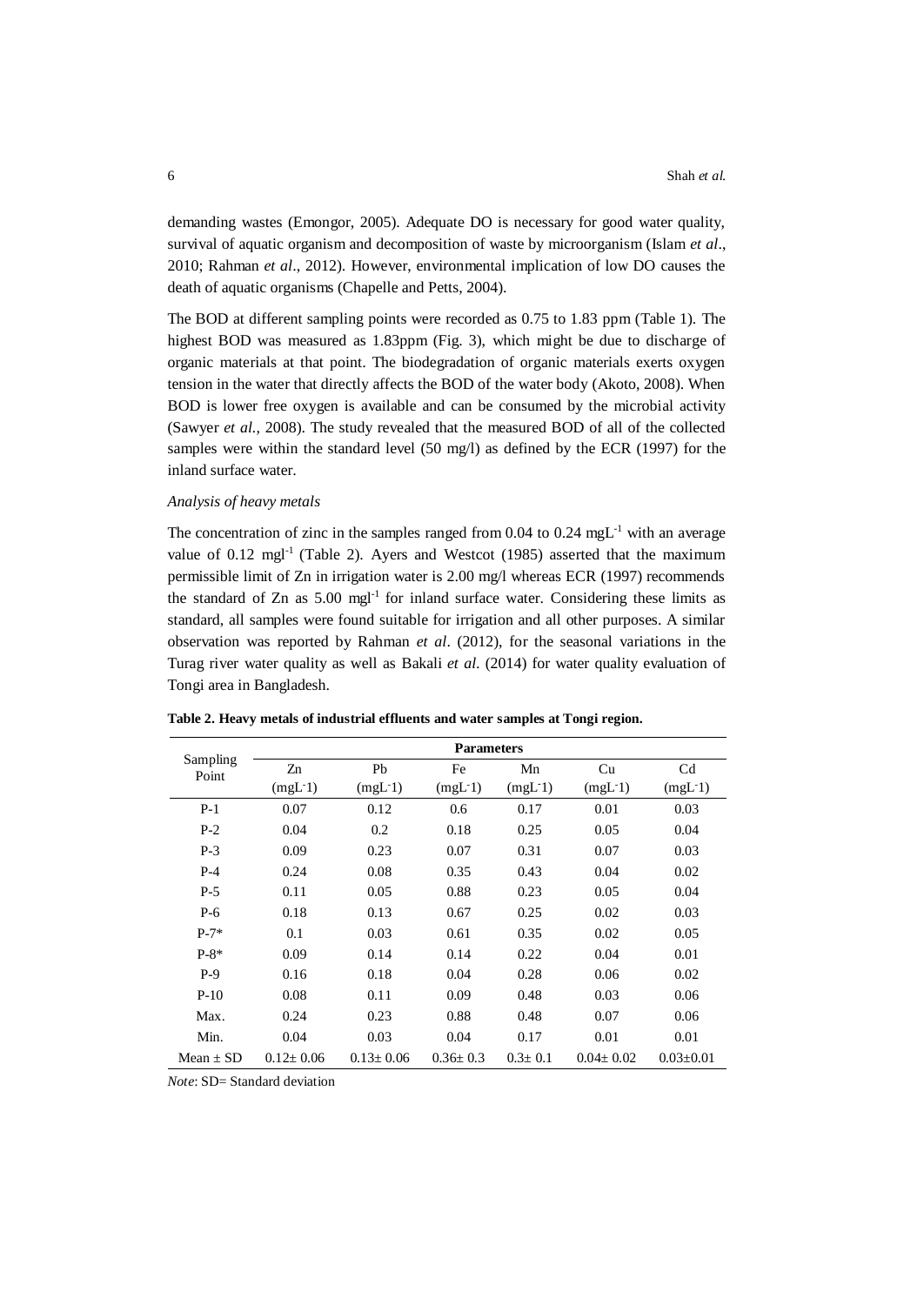demanding wastes (Emongor, 2005). Adequate DO is necessary for good water quality, survival of aquatic organism and decomposition of waste by microorganism (Islam *et al*., 2010; Rahman *et al*., 2012). However, environmental implication of low DO causes the death of aquatic organisms (Chapelle and Petts, 2004).

The BOD at different sampling points were recorded as 0.75 to 1.83 ppm (Table 1). The highest BOD was measured as 1.83ppm (Fig. 3), which might be due to discharge of organic materials at that point. The biodegradation of organic materials exerts oxygen tension in the water that directly affects the BOD of the water body (Akoto, 2008). When BOD is lower free oxygen is available and can be consumed by the microbial activity (Sawyer *et al.,* 2008). The study revealed that the measured BOD of all of the collected samples were within the standard level (50 mg/l) as defined by the ECR (1997) for the inland surface water.

### *Analysis of heavy metals*

The concentration of zinc in the samples ranged from 0.04 to 0.24 mgL<sup>-1</sup> with an average value of  $0.12 \text{ mgl}^{-1}$  (Table 2). Ayers and Westcot (1985) asserted that the maximum permissible limit of Zn in irrigation water is 2.00 mg/l whereas ECR (1997) recommends the standard of  $Zn$  as  $5.00$  mgl<sup>-1</sup> for inland surface water. Considering these limits as standard, all samples were found suitable for irrigation and all other purposes. A similar observation was reported by Rahman *et al*. (2012), for the seasonal variations in the Turag river water quality as well as Bakali *et al.* (2014) for water quality evaluation of Tongi area in Bangladesh.

|                   | <b>Parameters</b> |                 |                |               |                 |                     |  |  |  |  |
|-------------------|-------------------|-----------------|----------------|---------------|-----------------|---------------------|--|--|--|--|
| Sampling<br>Point | Zn                | Pb              | Fe             | Mn            | Cu              | C <sub>d</sub>      |  |  |  |  |
|                   | $(mgL-1)$         | $(mgL-1)$       | $(mgL-1)$      | $(mgL-1)$     | $(mgL-1)$       | (mgL <sub>1</sub> ) |  |  |  |  |
| $P-1$             | 0.07              | 0.12            | 0.6            | 0.17          | 0.01            | 0.03                |  |  |  |  |
| $P-2$             | 0.04              | 0.2             | 0.18           | 0.25          | 0.05            | 0.04                |  |  |  |  |
| $P-3$             | 0.09              | 0.23            | 0.07           | 0.31          | 0.07            | 0.03                |  |  |  |  |
| $P-4$             | 0.24              | 0.08            | 0.35           | 0.43          | 0.04            | 0.02                |  |  |  |  |
| $P-5$             | 0.11              | 0.05            | 0.88           | 0.23          | 0.05            | 0.04                |  |  |  |  |
| $P-6$             | 0.18              | 0.13            | 0.67           | 0.25          | 0.02            | 0.03                |  |  |  |  |
| $P-7*$            | 0.1               | 0.03            | 0.61           | 0.35          | 0.02            | 0.05                |  |  |  |  |
| $P-8*$            | 0.09              | 0.14            | 0.14           | 0.22          | 0.04            | 0.01                |  |  |  |  |
| $P-9$             | 0.16              | 0.18            | 0.04           | 0.28          | 0.06            | 0.02                |  |  |  |  |
| $P-10$            | 0.08              | 0.11            | 0.09           | 0.48          | 0.03            | 0.06                |  |  |  |  |
| Max.              | 0.24              | 0.23            | 0.88           | 0.48          | 0.07            | 0.06                |  |  |  |  |
| Min.              | 0.04              | 0.03            | 0.04           | 0.17          | 0.01            | 0.01                |  |  |  |  |
| Mean $\pm$ SD     | $0.12 \pm 0.06$   | $0.13 \pm 0.06$ | $0.36 \pm 0.3$ | $0.3 \pm 0.1$ | $0.04 \pm 0.02$ | $0.03 \pm 0.01$     |  |  |  |  |

**Table 2. Heavy metals of industrial effluents and water samples at Tongi region.** 

*Note*: SD= Standard deviation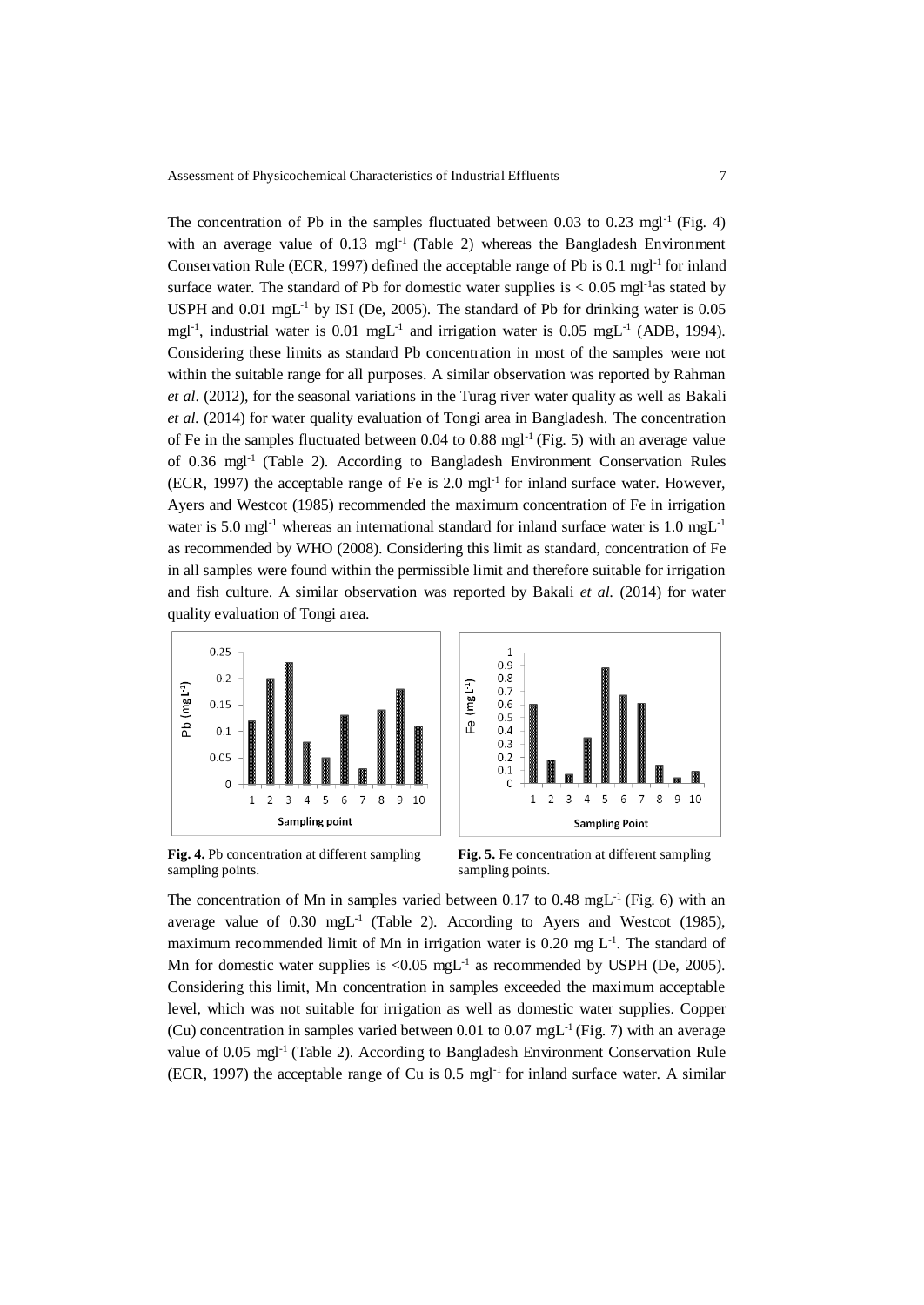The concentration of Pb in the samples fluctuated between  $0.03$  to  $0.23 \text{ mgl}^{-1}$  (Fig. 4) with an average value of 0.13 mgl<sup>-1</sup> (Table 2) whereas the Bangladesh Environment Conservation Rule (ECR, 1997) defined the acceptable range of Pb is  $0.1 \text{ mgl}^{-1}$  for inland surface water. The standard of Pb for domestic water supplies is  $< 0.05$  mgl<sup>-1</sup>as stated by USPH and  $0.01 \text{ mgL}^{-1}$  by ISI (De, 2005). The standard of Pb for drinking water is  $0.05$ mgl<sup>-1</sup>, industrial water is 0.01 mgL<sup>-1</sup> and irrigation water is 0.05 mgL<sup>-1</sup> (ADB, 1994). Considering these limits as standard Pb concentration in most of the samples were not within the suitable range for all purposes. A similar observation was reported by Rahman *et al*. (2012), for the seasonal variations in the Turag river water quality as well as Bakali *et al.* (2014) for water quality evaluation of Tongi area in Bangladesh. The concentration of Fe in the samples fluctuated between  $0.04$  to  $0.88$  mgl<sup>-1</sup> (Fig. 5) with an average value of 0.36 mgl-1 (Table 2). According to Bangladesh Environment Conservation Rules  $(ECR, 1997)$  the acceptable range of Fe is 2.0 mgl<sup>-1</sup> for inland surface water. However, Ayers and Westcot (1985) recommended the maximum concentration of Fe in irrigation water is 5.0 mgl<sup>-1</sup> whereas an international standard for inland surface water is 1.0 mgL<sup>-1</sup> as recommended by WHO (2008). Considering this limit as standard, concentration of Fe in all samples were found within the permissible limit and therefore suitable for irrigation and fish culture. A similar observation was reported by Bakali *et al.* (2014) for water quality evaluation of Tongi area.





**Fig. 4.** Pb concentration at different sampling sampling points.

**Fig. 5.** Fe concentration at different sampling sampling points.

The concentration of Mn in samples varied between  $0.17$  to  $0.48$  mgL<sup>-1</sup> (Fig. 6) with an average value of  $0.30 \text{ mgL}^{-1}$  (Table 2). According to Ayers and Westcot (1985), maximum recommended limit of Mn in irrigation water is  $0.20$  mg  $L<sup>-1</sup>$ . The standard of Mn for domestic water supplies is  $\langle 0.05 \text{ mgL}^{-1}$  as recommended by USPH (De, 2005). Considering this limit, Mn concentration in samples exceeded the maximum acceptable level, which was not suitable for irrigation as well as domestic water supplies. Copper (Cu) concentration in samples varied between 0.01 to 0.07 mgL<sup>-1</sup> (Fig. 7) with an average value of 0.05 mgl-1 (Table 2). According to Bangladesh Environment Conservation Rule (ECR, 1997) the acceptable range of Cu is 0.5 mgl<sup>-1</sup> for inland surface water. A similar (ECR, 1997) the acceptable range of Cu is 0.5 mgl<sup>-1</sup> for inland surface water. A similar (ECR, 1997) the acceptable range of Cu is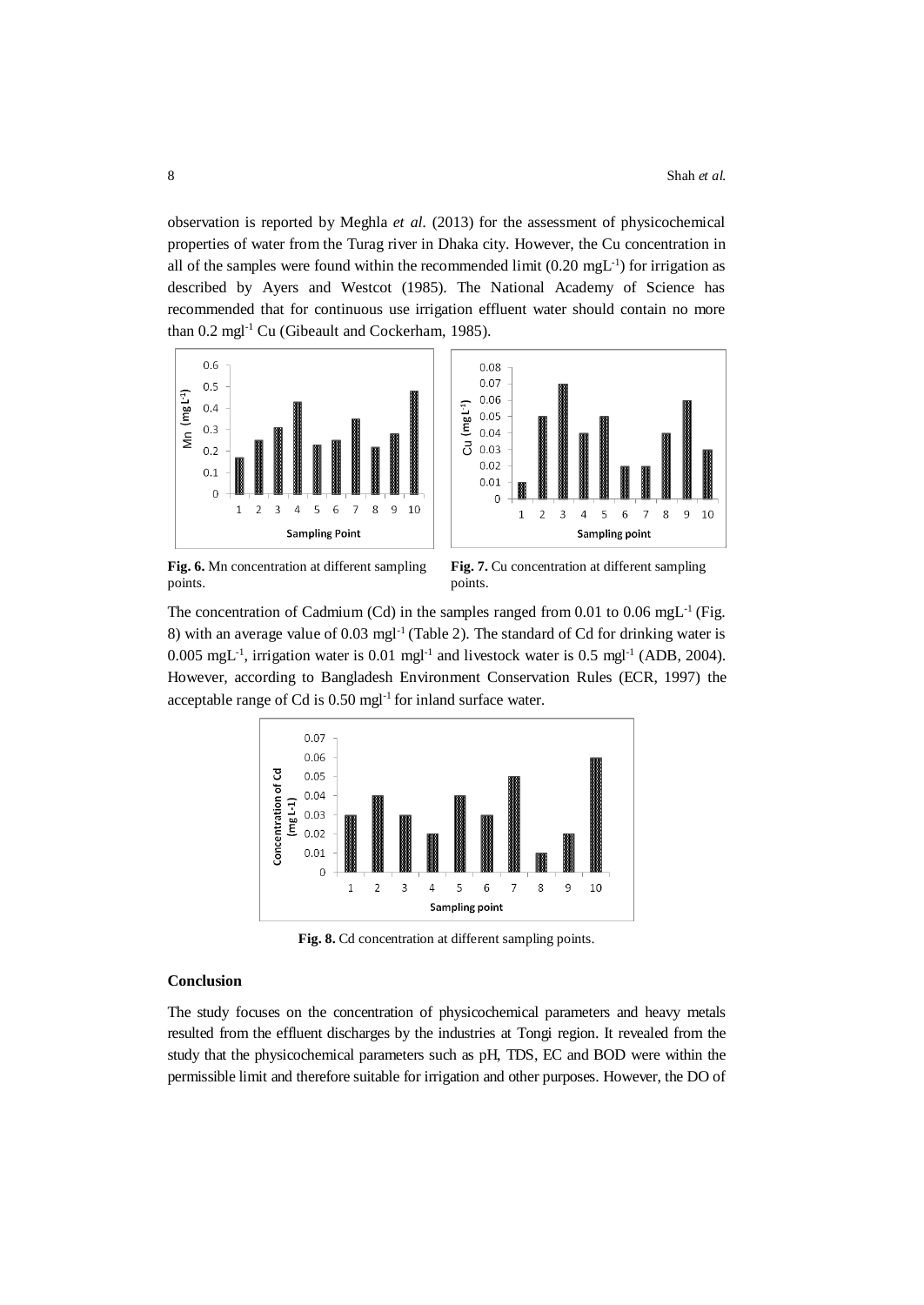observation is reported by Meghla *et al.* (2013) for the assessment of physicochemical properties of water from the Turag river in Dhaka city. However, the Cu concentration in all of the samples were found within the recommended limit  $(0.20 \text{ mgL}^{-1})$  for irrigation as described by Ayers and Westcot (1985). The National Academy of Science has recommended that for continuous use irrigation effluent water should contain no more than 0.2 mgl-1 Cu (Gibeault and Cockerham, 1985).





**Fig. 6.** Mn concentration at different sampling points.

**Fig. 7.** Cu concentration at different sampling points.

The concentration of Cadmium (Cd) in the samples ranged from 0.01 to 0.06 mgL<sup>-1</sup> (Fig. 8) with an average value of  $0.03 \text{ mgl}^{-1}$  (Table 2). The standard of Cd for drinking water is  $0.005 \text{ mgL}^{-1}$ , irrigation water is  $0.01 \text{ mgl}^{-1}$  and livestock water is  $0.5 \text{ mgl}^{-1}$  (ADB, 2004). However, according to Bangladesh Environment Conservation Rules (ECR, 1997) the acceptable range of Cd is 0.50 mgl-1 for inland surface water.



Fig. 8. Cd concentration at different sampling points.

# **Conclusion**

The study focuses on the concentration of physicochemical parameters and heavy metals resulted from the effluent discharges by the industries at Tongi region. It revealed from the study that the physicochemical parameters such as pH, TDS, EC and BOD were within the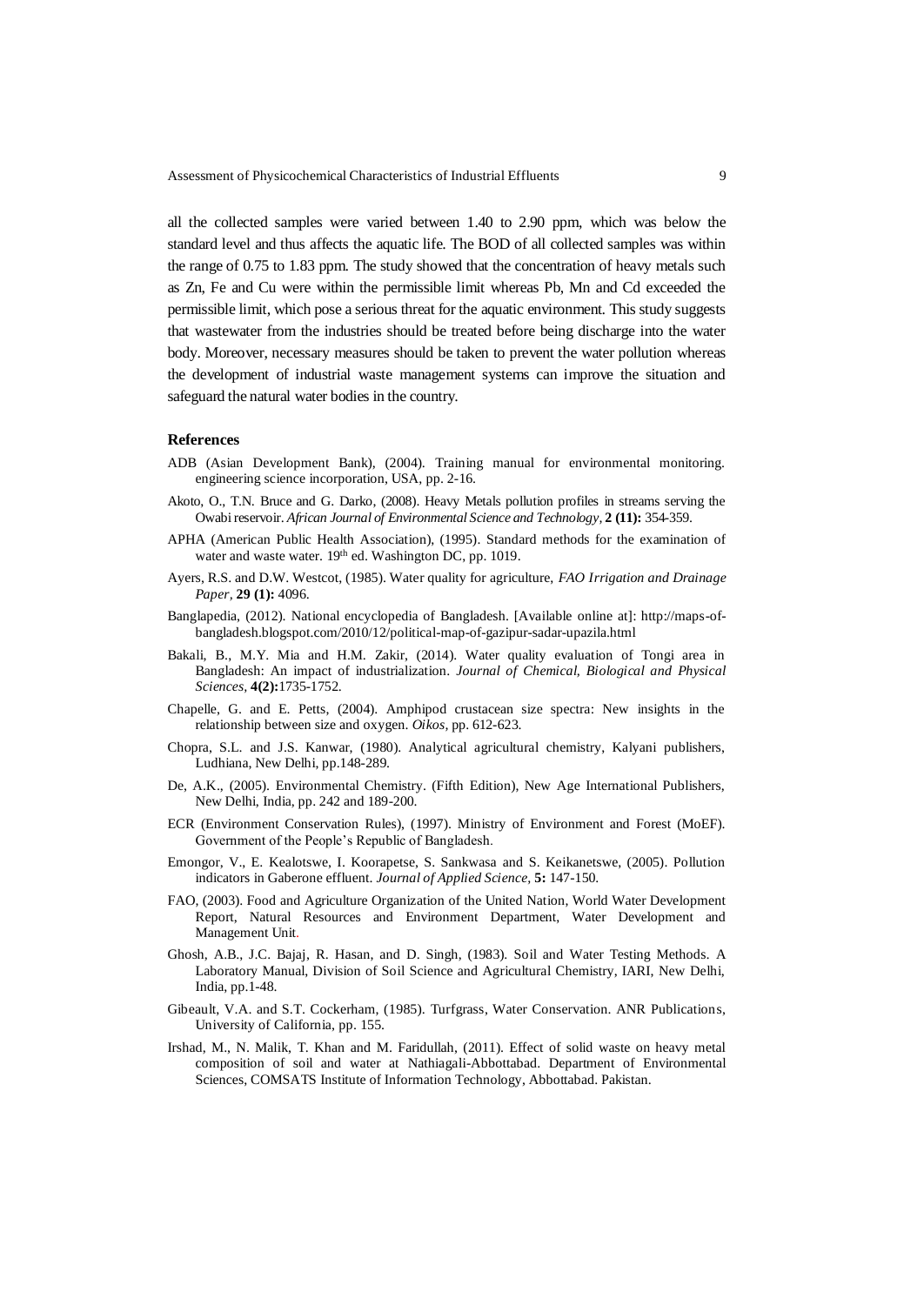all the collected samples were varied between 1.40 to 2.90 ppm, which was below the standard level and thus affects the aquatic life. The BOD of all collected samples was within the range of 0.75 to 1.83 ppm. The study showed that the concentration of heavy metals such as Zn, Fe and Cu were within the permissible limit whereas Pb, Mn and Cd exceeded the permissible limit, which pose a serious threat for the aquatic environment. This study suggests that wastewater from the industries should be treated before being discharge into the water body. Moreover, necessary measures should be taken to prevent the water pollution whereas the development of industrial waste management systems can improve the situation and safeguard the natural water bodies in the country.

### **References**

- ADB (Asian Development Bank), (2004). Training manual for environmental monitoring. engineering science incorporation, USA, pp. 2-16.
- Akoto, O., T.N. Bruce and G. Darko, (2008). Heavy Metals pollution profiles in streams serving the Owabi reservoir. *African Journal of Environmental Science and Technology,* **2 (11):** 354-359.
- APHA (American Public Health Association), (1995). Standard methods for the examination of water and waste water. 19<sup>th</sup> ed. Washington DC, pp. 1019.
- Ayers, R.S. and D.W. Westcot, (1985). Water quality for agriculture, *FAO Irrigation and Drainage Paper,* **29 (1):** 4096.
- Banglapedia, (2012). National encyclopedia of Bangladesh. [Available online at]: http://maps-ofbangladesh.blogspot.com/2010/12/political-map-of-gazipur-sadar-upazila.html
- Bakali, B., M.Y. Mia and H.M. Zakir, (2014). Water quality evaluation of Tongi area in Bangladesh: An impact of industrialization. *Journal of Chemical, Biological and Physical Sciences,* **4(2):**1735-1752.
- Chapelle, G. and E. Petts, (2004). Amphipod crustacean size spectra: New insights in the relationship between size and oxygen. *Oikos,* pp. 612-623.
- Chopra, S.L. and J.S. Kanwar, (1980). Analytical agricultural chemistry, Kalyani publishers, Ludhiana, New Delhi, pp.148-289.
- De, A.K., (2005). Environmental Chemistry. (Fifth Edition), New Age International Publishers, New Delhi, India, pp. 242 and 189-200.
- ECR (Environment Conservation Rules), (1997). Ministry of Environment and Forest (MoEF). Government of the People's Republic of Bangladesh.
- Emongor, V., E. Kealotswe, I. Koorapetse, S. Sankwasa and S. Keikanetswe, (2005). Pollution indicators in Gaberone effluent. *Journal of Applied Science,* **5:** 147-150.
- FAO, (2003). Food and Agriculture Organization of the United Nation, World Water Development Report, Natural Resources and Environment Department, Water Development and Management Unit.
- Ghosh, A.B., J.C. Bajaj, R. Hasan, and D. Singh, (1983). Soil and Water Testing Methods*.* A Laboratory Manual, Division of Soil Science and Agricultural Chemistry, IARI, New Delhi, India, pp.1-48.
- Gibeault, V.A. and S.T. Cockerham, (1985). Turfgrass, Water Conservation. ANR Publications, University of California, pp. 155.
- Irshad, M., N. Malik, T. Khan and M. Faridullah, (2011). Effect of solid waste on heavy metal composition of soil and water at Nathiagali-Abbottabad. Department of Environmental Sciences, COMSATS Institute of Information Technology, Abbottabad. Pakistan.